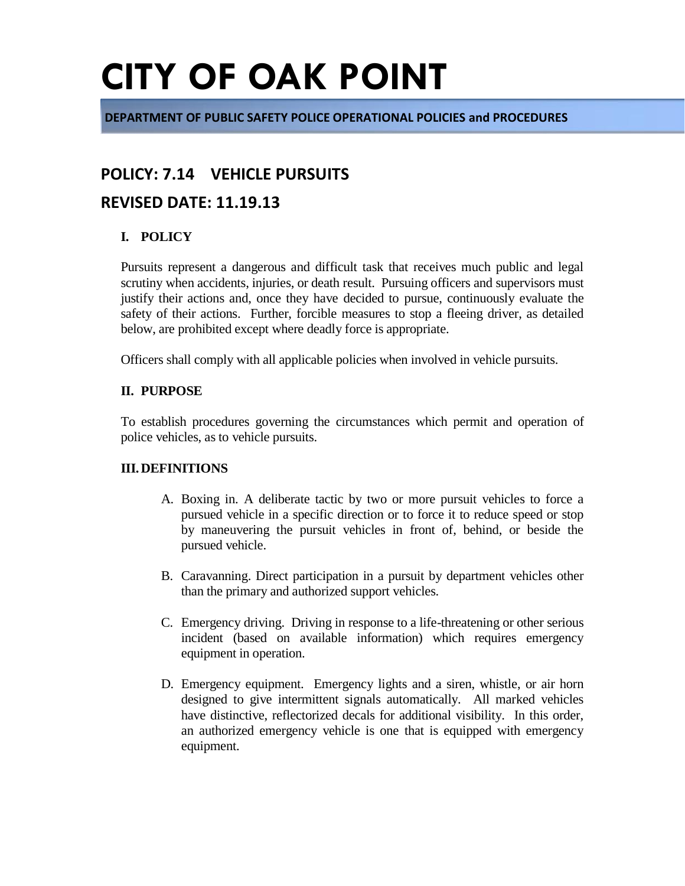**DEPARTMENT OF PUBLIC SAFETY POLICE OPERATIONAL POLICIES and PROCEDURES**

### **POLICY: 7.14 VEHICLE PURSUITS**

### **REVISED DATE: 11.19.13**

### **I. POLICY**

Pursuits represent a dangerous and difficult task that receives much public and legal scrutiny when accidents, injuries, or death result. Pursuing officers and supervisors must justify their actions and, once they have decided to pursue, continuously evaluate the safety of their actions. Further, forcible measures to stop a fleeing driver, as detailed below, are prohibited except where deadly force is appropriate.

Officers shall comply with all applicable policies when involved in vehicle pursuits.

### **II. PURPOSE**

To establish procedures governing the circumstances which permit and operation of police vehicles, as to vehicle pursuits.

### **III.DEFINITIONS**

- A. Boxing in. A deliberate tactic by two or more pursuit vehicles to force a pursued vehicle in a specific direction or to force it to reduce speed or stop by maneuvering the pursuit vehicles in front of, behind, or beside the pursued vehicle.
- B. Caravanning. Direct participation in a pursuit by department vehicles other than the primary and authorized support vehicles.
- C. Emergency driving. Driving in response to a life-threatening or other serious incident (based on available information) which requires emergency equipment in operation.
- D. Emergency equipment. Emergency lights and a siren, whistle, or air horn designed to give intermittent signals automatically. All marked vehicles have distinctive, reflectorized decals for additional visibility. In this order, an authorized emergency vehicle is one that is equipped with emergency equipment.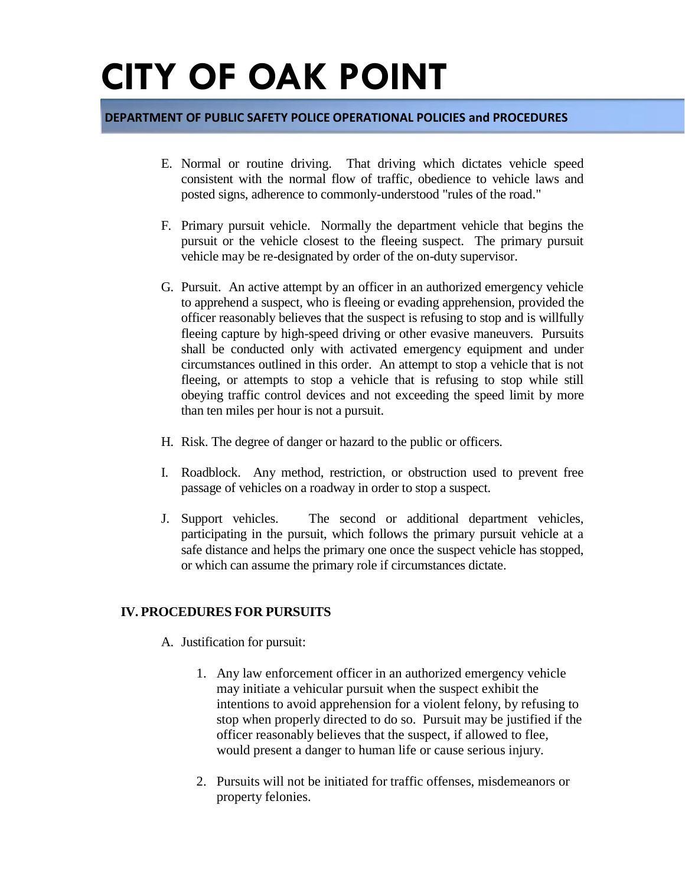#### **DEPARTMENT OF PUBLIC SAFETY POLICE OPERATIONAL POLICIES and PROCEDURES**

- E. Normal or routine driving. That driving which dictates vehicle speed consistent with the normal flow of traffic, obedience to vehicle laws and posted signs, adherence to commonly-understood "rules of the road."
- F. Primary pursuit vehicle. Normally the department vehicle that begins the pursuit or the vehicle closest to the fleeing suspect. The primary pursuit vehicle may be re-designated by order of the on-duty supervisor.
- G. Pursuit. An active attempt by an officer in an authorized emergency vehicle to apprehend a suspect, who is fleeing or evading apprehension, provided the officer reasonably believes that the suspect is refusing to stop and is willfully fleeing capture by high-speed driving or other evasive maneuvers. Pursuits shall be conducted only with activated emergency equipment and under circumstances outlined in this order. An attempt to stop a vehicle that is not fleeing, or attempts to stop a vehicle that is refusing to stop while still obeying traffic control devices and not exceeding the speed limit by more than ten miles per hour is not a pursuit.
- H. Risk. The degree of danger or hazard to the public or officers.
- I. Roadblock. Any method, restriction, or obstruction used to prevent free passage of vehicles on a roadway in order to stop a suspect.
- J. Support vehicles. The second or additional department vehicles, participating in the pursuit, which follows the primary pursuit vehicle at a safe distance and helps the primary one once the suspect vehicle has stopped, or which can assume the primary role if circumstances dictate.

### **IV. PROCEDURES FOR PURSUITS**

- A. Justification for pursuit:
	- 1. Any law enforcement officer in an authorized emergency vehicle may initiate a vehicular pursuit when the suspect exhibit the intentions to avoid apprehension for a violent felony, by refusing to stop when properly directed to do so. Pursuit may be justified if the officer reasonably believes that the suspect, if allowed to flee, would present a danger to human life or cause serious injury.
	- 2. Pursuits will not be initiated for traffic offenses, misdemeanors or property felonies.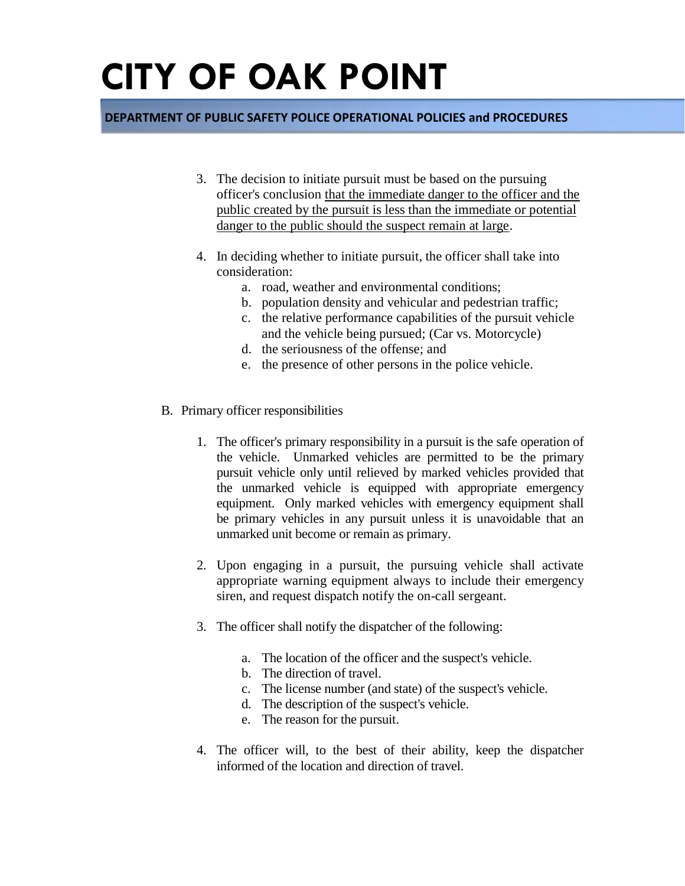### **DEPARTMENT OF PUBLIC SAFETY POLICE OPERATIONAL POLICIES and PROCEDURES**

- 3. The decision to initiate pursuit must be based on the pursuing officer's conclusion that the immediate danger to the officer and the public created by the pursuit is less than the immediate or potential danger to the public should the suspect remain at large.
- 4. In deciding whether to initiate pursuit, the officer shall take into consideration:
	- a. road, weather and environmental conditions;
	- b. population density and vehicular and pedestrian traffic;
	- c. the relative performance capabilities of the pursuit vehicle and the vehicle being pursued; (Car vs. Motorcycle)
	- d. the seriousness of the offense; and
	- e. the presence of other persons in the police vehicle.
- B. Primary officer responsibilities
	- 1. The officer's primary responsibility in a pursuit is the safe operation of the vehicle. Unmarked vehicles are permitted to be the primary pursuit vehicle only until relieved by marked vehicles provided that the unmarked vehicle is equipped with appropriate emergency equipment. Only marked vehicles with emergency equipment shall be primary vehicles in any pursuit unless it is unavoidable that an unmarked unit become or remain as primary.
	- 2. Upon engaging in a pursuit, the pursuing vehicle shall activate appropriate warning equipment always to include their emergency siren, and request dispatch notify the on-call sergeant.
	- 3. The officer shall notify the dispatcher of the following:
		- a. The location of the officer and the suspect's vehicle.
		- b. The direction of travel.
		- c. The license number (and state) of the suspect's vehicle.
		- d. The description of the suspect's vehicle.
		- e. The reason for the pursuit.
	- 4. The officer will, to the best of their ability, keep the dispatcher informed of the location and direction of travel.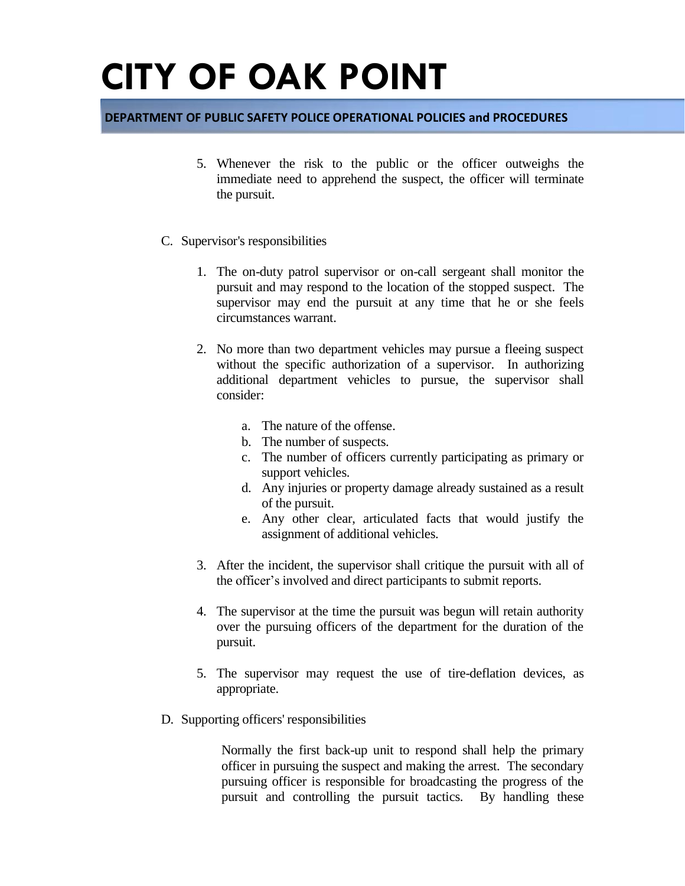### **DEPARTMENT OF PUBLIC SAFETY POLICE OPERATIONAL POLICIES and PROCEDURES**

- 5. Whenever the risk to the public or the officer outweighs the immediate need to apprehend the suspect, the officer will terminate the pursuit.
- C. Supervisor's responsibilities
	- 1. The on-duty patrol supervisor or on-call sergeant shall monitor the pursuit and may respond to the location of the stopped suspect. The supervisor may end the pursuit at any time that he or she feels circumstances warrant.
	- 2. No more than two department vehicles may pursue a fleeing suspect without the specific authorization of a supervisor. In authorizing additional department vehicles to pursue, the supervisor shall consider:
		- a. The nature of the offense.
		- b. The number of suspects.
		- c. The number of officers currently participating as primary or support vehicles.
		- d. Any injuries or property damage already sustained as a result of the pursuit.
		- e. Any other clear, articulated facts that would justify the assignment of additional vehicles.
	- 3. After the incident, the supervisor shall critique the pursuit with all of the officer's involved and direct participants to submit reports.
	- 4. The supervisor at the time the pursuit was begun will retain authority over the pursuing officers of the department for the duration of the pursuit.
	- 5. The supervisor may request the use of tire-deflation devices, as appropriate.
- D. Supporting officers' responsibilities

Normally the first back-up unit to respond shall help the primary officer in pursuing the suspect and making the arrest. The secondary pursuing officer is responsible for broadcasting the progress of the pursuit and controlling the pursuit tactics. By handling these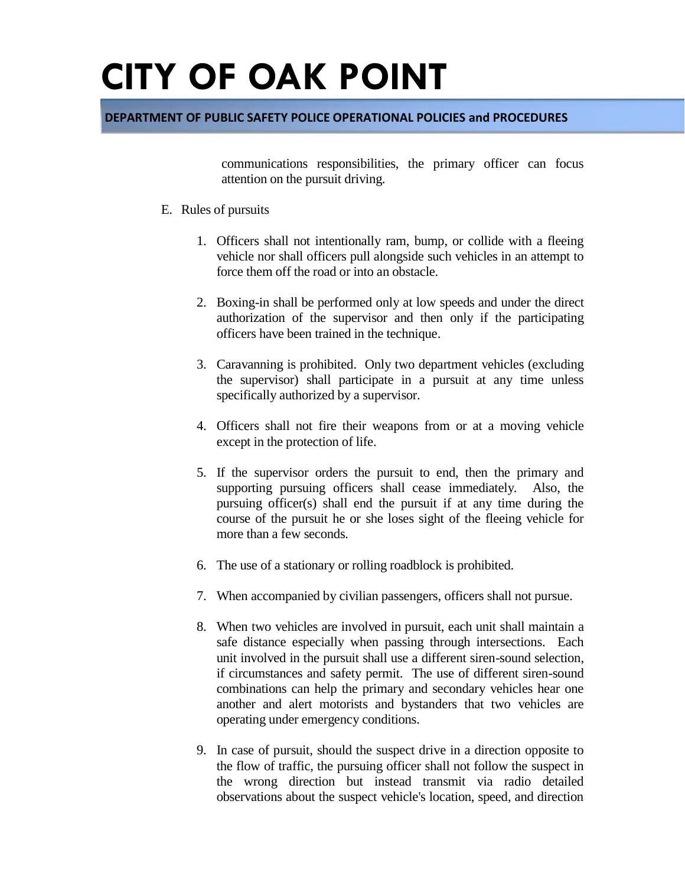### **DEPARTMENT OF PUBLIC SAFETY POLICE OPERATIONAL POLICIES and PROCEDURES**

communications responsibilities, the primary officer can focus attention on the pursuit driving.

- E. Rules of pursuits
	- 1. Officers shall not intentionally ram, bump, or collide with a fleeing vehicle nor shall officers pull alongside such vehicles in an attempt to force them off the road or into an obstacle.
	- 2. Boxing-in shall be performed only at low speeds and under the direct authorization of the supervisor and then only if the participating officers have been trained in the technique.
	- 3. Caravanning is prohibited. Only two department vehicles (excluding the supervisor) shall participate in a pursuit at any time unless specifically authorized by a supervisor.
	- 4. Officers shall not fire their weapons from or at a moving vehicle except in the protection of life.
	- 5. If the supervisor orders the pursuit to end, then the primary and supporting pursuing officers shall cease immediately. Also, the pursuing officer(s) shall end the pursuit if at any time during the course of the pursuit he or she loses sight of the fleeing vehicle for more than a few seconds.
	- 6. The use of a stationary or rolling roadblock is prohibited.
	- 7. When accompanied by civilian passengers, officers shall not pursue.
	- 8. When two vehicles are involved in pursuit, each unit shall maintain a safe distance especially when passing through intersections. Each unit involved in the pursuit shall use a different siren-sound selection, if circumstances and safety permit. The use of different siren-sound combinations can help the primary and secondary vehicles hear one another and alert motorists and bystanders that two vehicles are operating under emergency conditions.
	- 9. In case of pursuit, should the suspect drive in a direction opposite to the flow of traffic, the pursuing officer shall not follow the suspect in the wrong direction but instead transmit via radio detailed observations about the suspect vehicle's location, speed, and direction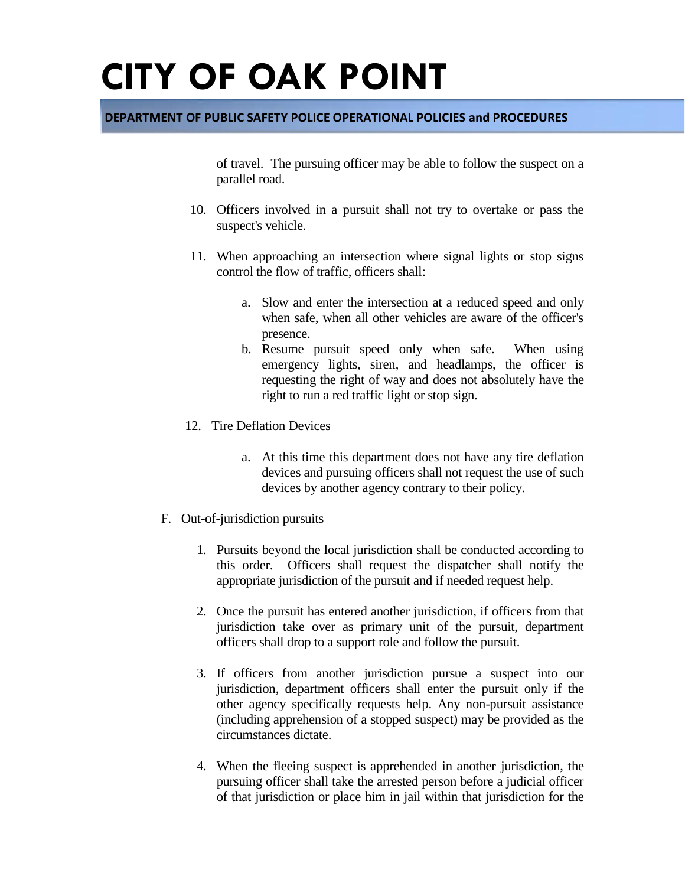### **DEPARTMENT OF PUBLIC SAFETY POLICE OPERATIONAL POLICIES and PROCEDURES**

of travel. The pursuing officer may be able to follow the suspect on a parallel road.

- 10. Officers involved in a pursuit shall not try to overtake or pass the suspect's vehicle.
- 11. When approaching an intersection where signal lights or stop signs control the flow of traffic, officers shall:
	- a. Slow and enter the intersection at a reduced speed and only when safe, when all other vehicles are aware of the officer's presence.
	- b. Resume pursuit speed only when safe. When using emergency lights, siren, and headlamps, the officer is requesting the right of way and does not absolutely have the right to run a red traffic light or stop sign.
- 12. Tire Deflation Devices
	- a. At this time this department does not have any tire deflation devices and pursuing officers shall not request the use of such devices by another agency contrary to their policy.
- F. Out-of-jurisdiction pursuits
	- 1. Pursuits beyond the local jurisdiction shall be conducted according to this order. Officers shall request the dispatcher shall notify the appropriate jurisdiction of the pursuit and if needed request help.
	- 2. Once the pursuit has entered another jurisdiction, if officers from that jurisdiction take over as primary unit of the pursuit, department officers shall drop to a support role and follow the pursuit.
	- 3. If officers from another jurisdiction pursue a suspect into our jurisdiction, department officers shall enter the pursuit only if the other agency specifically requests help. Any non-pursuit assistance (including apprehension of a stopped suspect) may be provided as the circumstances dictate.
	- 4. When the fleeing suspect is apprehended in another jurisdiction, the pursuing officer shall take the arrested person before a judicial officer of that jurisdiction or place him in jail within that jurisdiction for the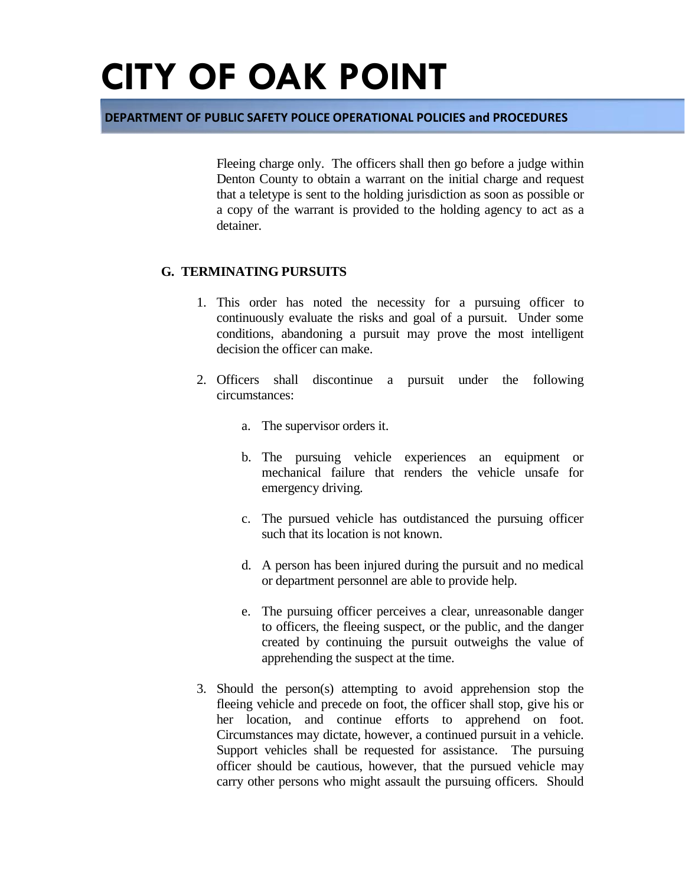#### **DEPARTMENT OF PUBLIC SAFETY POLICE OPERATIONAL POLICIES and PROCEDURES**

Fleeing charge only. The officers shall then go before a judge within Denton County to obtain a warrant on the initial charge and request that a teletype is sent to the holding jurisdiction as soon as possible or a copy of the warrant is provided to the holding agency to act as a detainer.

### **G. TERMINATING PURSUITS**

- 1. This order has noted the necessity for a pursuing officer to continuously evaluate the risks and goal of a pursuit. Under some conditions, abandoning a pursuit may prove the most intelligent decision the officer can make.
- 2. Officers shall discontinue a pursuit under the following circumstances:
	- a. The supervisor orders it.
	- b. The pursuing vehicle experiences an equipment or mechanical failure that renders the vehicle unsafe for emergency driving.
	- c. The pursued vehicle has outdistanced the pursuing officer such that its location is not known.
	- d. A person has been injured during the pursuit and no medical or department personnel are able to provide help.
	- e. The pursuing officer perceives a clear, unreasonable danger to officers, the fleeing suspect, or the public, and the danger created by continuing the pursuit outweighs the value of apprehending the suspect at the time.
- 3. Should the person(s) attempting to avoid apprehension stop the fleeing vehicle and precede on foot, the officer shall stop, give his or her location, and continue efforts to apprehend on foot. Circumstances may dictate, however, a continued pursuit in a vehicle. Support vehicles shall be requested for assistance. The pursuing officer should be cautious, however, that the pursued vehicle may carry other persons who might assault the pursuing officers. Should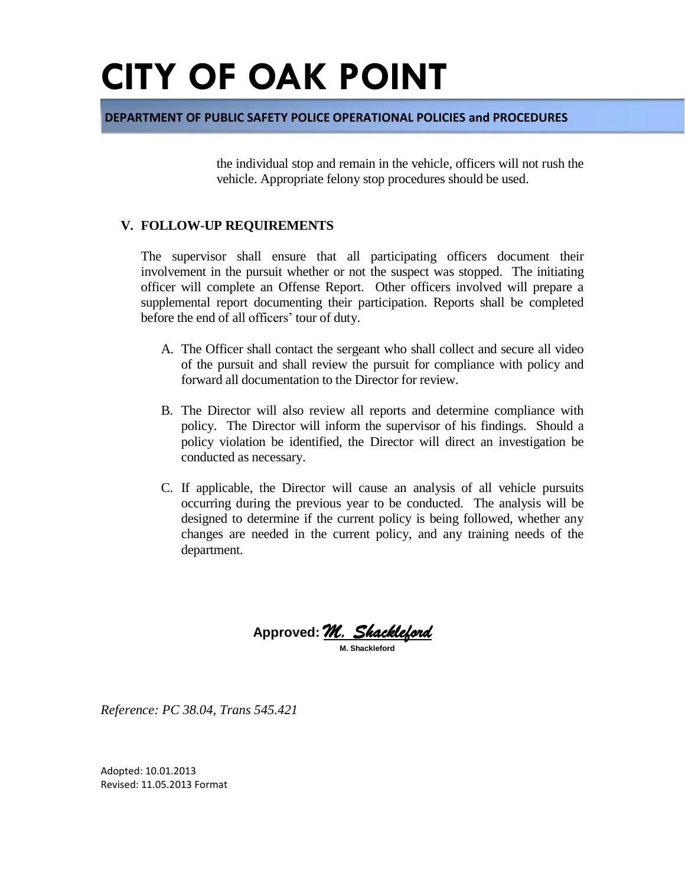#### **DEPARTMENT OF PUBLIC SAFETY POLICE OPERATIONAL POLICIES and PROCEDURES**

the individual stop and remain in the vehicle, officers will not rush the vehicle. Appropriate felony stop procedures should be used.

#### **V. FOLLOW-UP REQUIREMENTS**

The supervisor shall ensure that all participating officers document their involvement in the pursuit whether or not the suspect was stopped. The initiating officer will complete an Offense Report. Other officers involved will prepare a supplemental report documenting their participation. Reports shall be completed before the end of all officers' tour of duty.

- A. The Officer shall contact the sergeant who shall collect and secure all video of the pursuit and shall review the pursuit for compliance with policy and forward all documentation to the Director for review.
- B. The Director will also review all reports and determine compliance with policy. The Director will inform the supervisor of his findings. Should a policy violation be identified, the Director will direct an investigation be conducted as necessary.
- C. If applicable, the Director will cause an analysis of all vehicle pursuits occurring during the previous year to be conducted. The analysis will be designed to determine if the current policy is being followed, whether any changes are needed in the current policy, and any training needs of the department.

**Approved:** *M. Shackleford*  **M. Shackleford**

*Reference: PC 38.04, Trans 545.421*

Adopted: 10.01.2013 Revised: 11.05.2013 Format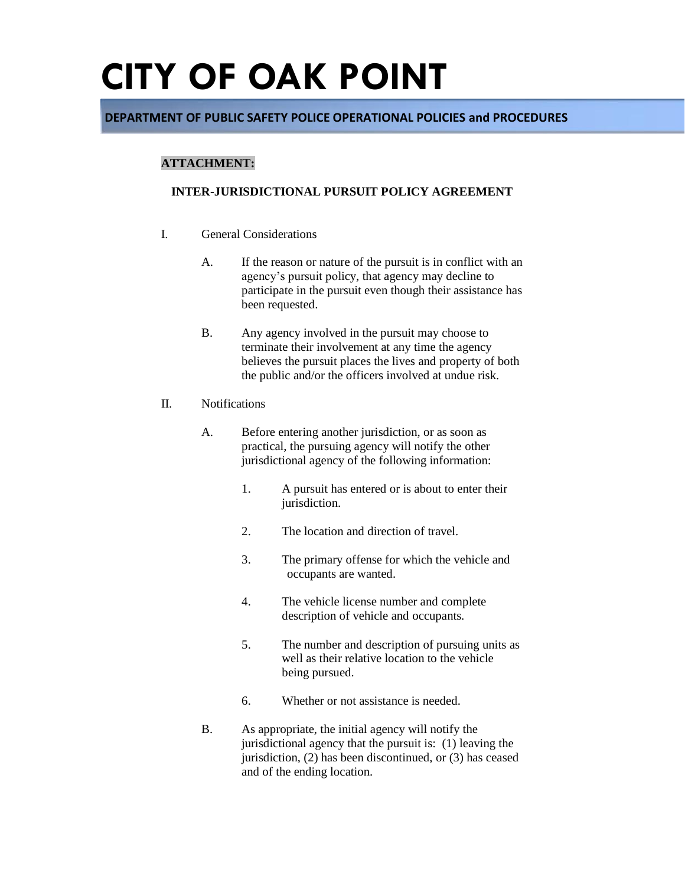### **DEPARTMENT OF PUBLIC SAFETY POLICE OPERATIONAL POLICIES and PROCEDURES**

### **ATTACHMENT:**

#### **INTER-JURISDICTIONAL PURSUIT POLICY AGREEMENT**

- I. General Considerations
	- A. If the reason or nature of the pursuit is in conflict with an agency's pursuit policy, that agency may decline to participate in the pursuit even though their assistance has been requested.
	- B. Any agency involved in the pursuit may choose to terminate their involvement at any time the agency believes the pursuit places the lives and property of both the public and/or the officers involved at undue risk.
- II. Notifications
	- A. Before entering another jurisdiction, or as soon as practical, the pursuing agency will notify the other jurisdictional agency of the following information:
		- 1. A pursuit has entered or is about to enter their jurisdiction.
		- 2. The location and direction of travel.
		- 3. The primary offense for which the vehicle and occupants are wanted.
		- 4. The vehicle license number and complete description of vehicle and occupants.
		- 5. The number and description of pursuing units as well as their relative location to the vehicle being pursued.
		- 6. Whether or not assistance is needed.
	- B. As appropriate, the initial agency will notify the jurisdictional agency that the pursuit is: (1) leaving the jurisdiction, (2) has been discontinued, or (3) has ceased and of the ending location.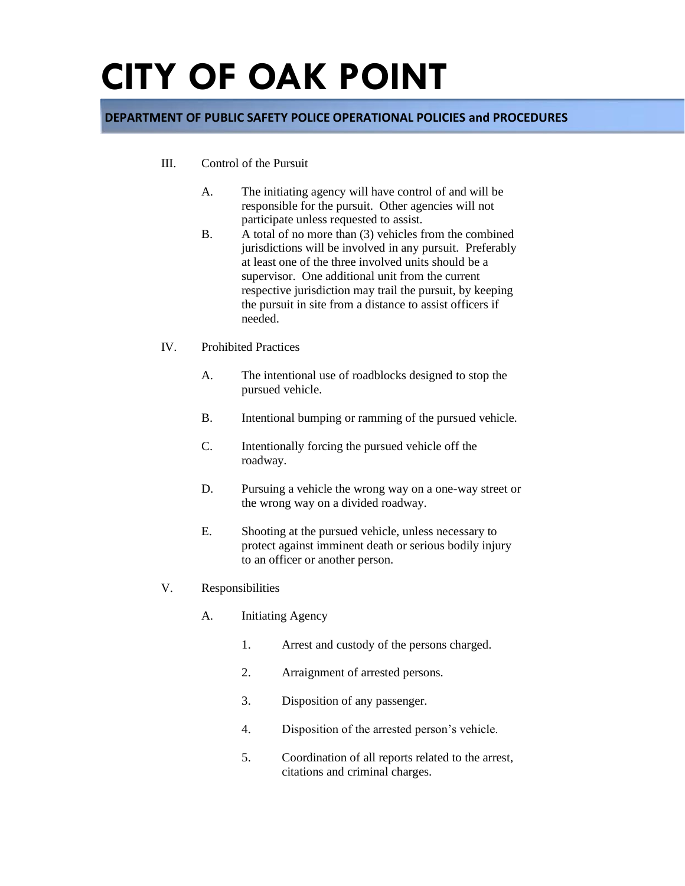#### **DEPARTMENT OF PUBLIC SAFETY POLICE OPERATIONAL POLICIES and PROCEDURES**

- III. Control of the Pursuit
	- A. The initiating agency will have control of and will be responsible for the pursuit. Other agencies will not participate unless requested to assist.
	- B. A total of no more than (3) vehicles from the combined jurisdictions will be involved in any pursuit. Preferably at least one of the three involved units should be a supervisor. One additional unit from the current respective jurisdiction may trail the pursuit, by keeping the pursuit in site from a distance to assist officers if needed.
- IV. Prohibited Practices
	- A. The intentional use of roadblocks designed to stop the pursued vehicle.
	- B. Intentional bumping or ramming of the pursued vehicle.
	- C. Intentionally forcing the pursued vehicle off the roadway.
	- D. Pursuing a vehicle the wrong way on a one-way street or the wrong way on a divided roadway.
	- E. Shooting at the pursued vehicle, unless necessary to protect against imminent death or serious bodily injury to an officer or another person.
- V. Responsibilities
	- A. Initiating Agency
		- 1. Arrest and custody of the persons charged.
		- 2. Arraignment of arrested persons.
		- 3. Disposition of any passenger.
		- 4. Disposition of the arrested person's vehicle.
		- 5. Coordination of all reports related to the arrest, citations and criminal charges.